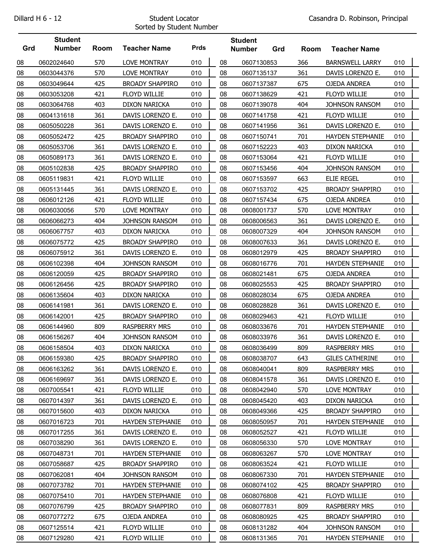## Sorted by Student Number

|     | <b>Student</b> |      |                         |             |    | <b>Student</b> |     |      |                         |     |  |
|-----|----------------|------|-------------------------|-------------|----|----------------|-----|------|-------------------------|-----|--|
| Grd | <b>Number</b>  | Room | <b>Teacher Name</b>     | <b>Prds</b> |    | <b>Number</b>  | Grd | Room | <b>Teacher Name</b>     |     |  |
| 08  | 0602024640     | 570  | <b>LOVE MONTRAY</b>     | 010         | 08 | 0607130853     |     | 366  | <b>BARNSWELL LARRY</b>  | 010 |  |
| 08  | 0603044376     | 570  | LOVE MONTRAY            | 010         | 08 | 0607135137     |     | 361  | DAVIS LORENZO E.        | 010 |  |
| 08  | 0603049644     | 425  | <b>BROADY SHAPPIRO</b>  | 010         | 08 | 0607137387     |     | 675  | OJEDA ANDREA            | 010 |  |
| 08  | 0603053208     | 421  | FLOYD WILLIE            | 010         | 08 | 0607138629     |     | 421  | FLOYD WILLIE            | 010 |  |
| 08  | 0603064768     | 403  | <b>DIXON NARICKA</b>    | 010         | 08 | 0607139078     |     | 404  | <b>JOHNSON RANSOM</b>   | 010 |  |
| 08  | 0604131618     | 361  | DAVIS LORENZO E.        | 010         | 08 | 0607141758     |     | 421  | FLOYD WILLIE            | 010 |  |
| 08  | 0605050228     | 361  | DAVIS LORENZO E.        | 010         | 08 | 0607141956     |     | 361  | DAVIS LORENZO E.        | 010 |  |
| 08  | 0605052472     | 425  | <b>BROADY SHAPPIRO</b>  | 010         | 08 | 0607150741     |     | 701  | <b>HAYDEN STEPHANIE</b> | 010 |  |
| 08  | 0605053706     | 361  | DAVIS LORENZO E.        | 010         | 08 | 0607152223     |     | 403  | DIXON NARICKA           | 010 |  |
| 08  | 0605089173     | 361  | DAVIS LORENZO E.        | 010         | 08 | 0607153064     |     | 421  | FLOYD WILLIE            | 010 |  |
| 08  | 0605102838     | 425  | <b>BROADY SHAPPIRO</b>  | 010         | 08 | 0607153456     |     | 404  | JOHNSON RANSOM          | 010 |  |
| 08  | 0605119831     | 421  | FLOYD WILLIE            | 010         | 08 | 0607153597     |     | 663  | <b>ELIE REGEL</b>       | 010 |  |
| 08  | 0605131445     | 361  | DAVIS LORENZO E.        | 010         | 08 | 0607153702     |     | 425  | <b>BROADY SHAPPIRO</b>  | 010 |  |
| 08  | 0606012126     | 421  | <b>FLOYD WILLIE</b>     | 010         | 08 | 0607157434     |     | 675  | OJEDA ANDREA            | 010 |  |
| 08  | 0606030056     | 570  | <b>LOVE MONTRAY</b>     | 010         | 08 | 0608001737     |     | 570  | LOVE MONTRAY            | 010 |  |
| 08  | 0606066273     | 404  | <b>JOHNSON RANSOM</b>   | 010         | 08 | 0608006563     |     | 361  | DAVIS LORENZO E.        | 010 |  |
| 08  | 0606067757     | 403  | <b>DIXON NARICKA</b>    | 010         | 08 | 0608007329     |     | 404  | JOHNSON RANSOM          | 010 |  |
| 08  | 0606075772     | 425  | <b>BROADY SHAPPIRO</b>  | 010         | 08 | 0608007633     |     | 361  | DAVIS LORENZO E.        | 010 |  |
| 08  | 0606075912     | 361  | DAVIS LORENZO E.        | 010         | 08 | 0608012979     |     | 425  | <b>BROADY SHAPPIRO</b>  | 010 |  |
| 08  | 0606102398     | 404  | <b>JOHNSON RANSOM</b>   | 010         | 08 | 0608016776     |     | 701  | <b>HAYDEN STEPHANIE</b> | 010 |  |
| 08  | 0606120059     | 425  | <b>BROADY SHAPPIRO</b>  | 010         | 08 | 0608021481     |     | 675  | OJEDA ANDREA            | 010 |  |
| 08  | 0606126456     | 425  | <b>BROADY SHAPPIRO</b>  | 010         | 08 | 0608025553     |     | 425  | <b>BROADY SHAPPIRO</b>  | 010 |  |
| 08  | 0606135604     | 403  | DIXON NARICKA           | 010         | 08 | 0608028034     |     | 675  | OJEDA ANDREA            | 010 |  |
| 08  | 0606141981     | 361  | DAVIS LORENZO E.        | 010         | 08 | 0608028828     |     | 361  | DAVIS LORENZO E.        | 010 |  |
| 08  | 0606142001     | 425  | <b>BROADY SHAPPIRO</b>  | 010         | 08 | 0608029463     |     | 421  | FLOYD WILLIE            | 010 |  |
| 08  | 0606144960     | 809  | <b>RASPBERRY MRS</b>    | 010         | 08 | 0608033676     |     | 701  | <b>HAYDEN STEPHANIE</b> | 010 |  |
| 08  | 0606156267     | 404  | JOHNSON RANSOM          | 010         | 08 | 0608033976     |     | 361  | DAVIS LORENZO E.        | 010 |  |
| 08  | 0606158504     | 403  | <b>DIXON NARICKA</b>    | 010         | 08 | 0608036499     |     | 809  | <b>RASPBERRY MRS</b>    | 010 |  |
| 08  | 0606159380     | 425  | <b>BROADY SHAPPIRO</b>  | 010         | 08 | 0608038707     |     | 643  | <b>GILES CATHERINE</b>  | 010 |  |
| 08  | 0606163262     | 361  | DAVIS LORENZO E.        | 010         | 08 | 0608040041     |     | 809  | <b>RASPBERRY MRS</b>    | 010 |  |
| 08  | 0606169697     | 361  | DAVIS LORENZO E.        | 010         | 08 | 0608041578     |     | 361  | DAVIS LORENZO E.        | 010 |  |
| 08  | 0607005541     | 421  | FLOYD WILLIE            | 010         | 08 | 0608042940     |     | 570  | LOVE MONTRAY            | 010 |  |
| 08  | 0607014397     | 361  | DAVIS LORENZO E.        | 010         | 08 | 0608045420     |     | 403  | <b>DIXON NARICKA</b>    | 010 |  |
| 08  | 0607015600     | 403  | <b>DIXON NARICKA</b>    | 010         | 08 | 0608049366     |     | 425  | <b>BROADY SHAPPIRO</b>  | 010 |  |
| 08  | 0607016723     | 701  | <b>HAYDEN STEPHANIE</b> | 010         | 08 | 0608050957     |     | 701  | <b>HAYDEN STEPHANIE</b> | 010 |  |
| 08  | 0607017255     | 361  | DAVIS LORENZO E.        | 010         | 08 | 0608052527     |     | 421  | <b>FLOYD WILLIE</b>     | 010 |  |
| 08  | 0607038290     | 361  | DAVIS LORENZO E.        | 010         | 08 | 0608056330     |     | 570  | LOVE MONTRAY            | 010 |  |
| 08  | 0607048731     | 701  | <b>HAYDEN STEPHANIE</b> | 010         | 08 | 0608063267     |     | 570  | LOVE MONTRAY            | 010 |  |
| 08  | 0607058687     | 425  | <b>BROADY SHAPPIRO</b>  | 010         | 08 | 0608063524     |     | 421  | FLOYD WILLIE            | 010 |  |
| 08  | 0607062081     | 404  | JOHNSON RANSOM          | 010         | 08 | 0608067330     |     | 701  | <b>HAYDEN STEPHANIE</b> | 010 |  |
| 08  | 0607073782     | 701  | <b>HAYDEN STEPHANIE</b> | 010         | 08 | 0608074102     |     | 425  | <b>BROADY SHAPPIRO</b>  | 010 |  |
| 08  | 0607075410     | 701  | <b>HAYDEN STEPHANIE</b> | 010         | 08 | 0608076808     |     | 421  | FLOYD WILLIE            | 010 |  |
| 08  | 0607076799     | 425  | <b>BROADY SHAPPIRO</b>  | 010         | 08 | 0608077831     |     | 809  | <b>RASPBERRY MRS</b>    | 010 |  |
| 08  | 0607077272     | 675  | OJEDA ANDREA            | 010         | 08 | 0608080925     |     | 425  | <b>BROADY SHAPPIRO</b>  | 010 |  |
| 08  | 0607125514     | 421  | FLOYD WILLIE            | 010         | 08 | 0608131282     |     | 404  | JOHNSON RANSOM          | 010 |  |
| 08  | 0607129280     | 421  | FLOYD WILLIE            | 010         | 08 | 0608131365     |     | 701  | <b>HAYDEN STEPHANIE</b> | 010 |  |